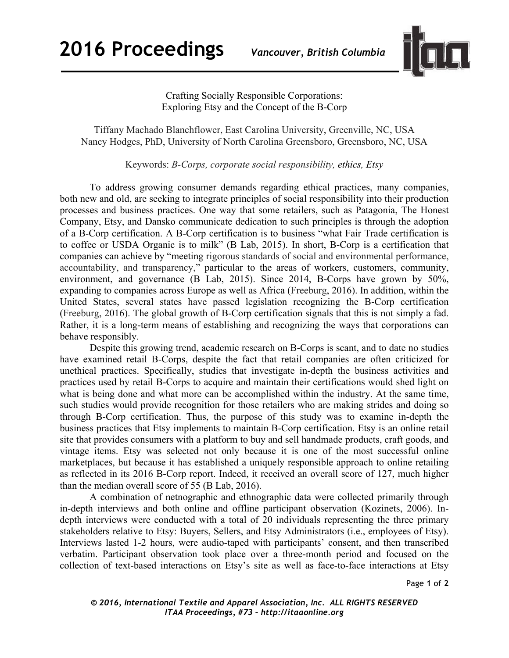

Crafting Socially Responsible Corporations: Exploring Etsy and the Concept of the B-Corp

Tiffany Machado Blanchflower, East Carolina University, Greenville, NC, USA Nancy Hodges, PhD, University of North Carolina Greensboro, Greensboro, NC, USA

Keywords: *B-Corps, corporate social responsibility, ethics, Etsy*

To address growing consumer demands regarding ethical practices, many companies, both new and old, are seeking to integrate principles of social responsibility into their production processes and business practices. One way that some retailers, such as Patagonia, The Honest Company, Etsy, and Dansko communicate dedication to such principles is through the adoption of a B-Corp certification. A B-Corp certification is to business "what Fair Trade certification is to coffee or USDA Organic is to milk" (B Lab, 2015). In short, B-Corp is a certification that companies can achieve by "meeting rigorous standards of social and environmental performance, accountability, and transparency," particular to the areas of workers, customers, community, environment, and governance (B Lab, 2015). Since 2014, B-Corps have grown by 50%, expanding to companies across Europe as well as Africa (Freeburg, 2016). In addition, within the United States, several states have passed legislation recognizing the B-Corp certification (Freeburg, 2016). The global growth of B-Corp certification signals that this is not simply a fad. Rather, it is a long-term means of establishing and recognizing the ways that corporations can behave responsibly.

Despite this growing trend, academic research on B-Corps is scant, and to date no studies have examined retail B-Corps, despite the fact that retail companies are often criticized for unethical practices. Specifically, studies that investigate in-depth the business activities and practices used by retail B-Corps to acquire and maintain their certifications would shed light on what is being done and what more can be accomplished within the industry. At the same time, such studies would provide recognition for those retailers who are making strides and doing so through B-Corp certification. Thus, the purpose of this study was to examine in-depth the business practices that Etsy implements to maintain B-Corp certification. Etsy is an online retail site that provides consumers with a platform to buy and sell handmade products, craft goods, and vintage items. Etsy was selected not only because it is one of the most successful online marketplaces, but because it has established a uniquely responsible approach to online retailing as reflected in its 2016 B-Corp report. Indeed, it received an overall score of 127, much higher than the median overall score of 55 (B Lab, 2016).

A combination of netnographic and ethnographic data were collected primarily through in-depth interviews and both online and offline participant observation (Kozinets, 2006). Indepth interviews were conducted with a total of 20 individuals representing the three primary stakeholders relative to Etsy: Buyers, Sellers, and Etsy Administrators (i.e., employees of Etsy). Interviews lasted 1-2 hours, were audio-taped with participants' consent, and then transcribed verbatim. Participant observation took place over a three-month period and focused on the collection of text-based interactions on Etsy's site as well as face-to-face interactions at Etsy

Page **1** of **2**

*© 2016, International Textile and Apparel Association, Inc. ALL RIGHTS RESERVED ITAA Proceedings, #73 – http://itaaonline.org*